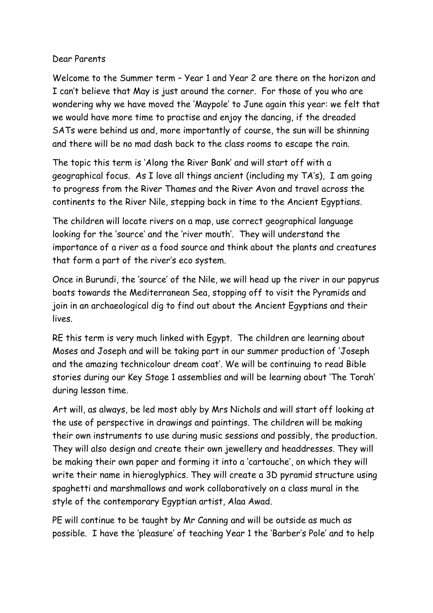## Dear Parents

Welcome to the Summer term – Year 1 and Year 2 are there on the horizon and I can't believe that May is just around the corner. For those of you who are wondering why we have moved the 'Maypole' to June again this year: we felt that we would have more time to practise and enjoy the dancing, if the dreaded SATs were behind us and, more importantly of course, the sun will be shinning and there will be no mad dash back to the class rooms to escape the rain.

The topic this term is 'Along the River Bank' and will start off with a geographical focus. As I love all things ancient (including my TA's), I am going to progress from the River Thames and the River Avon and travel across the continents to the River Nile, stepping back in time to the Ancient Egyptians.

The children will locate rivers on a map, use correct geographical language looking for the 'source' and the 'river mouth'. They will understand the importance of a river as a food source and think about the plants and creatures that form a part of the river's eco system.

Once in Burundi, the 'source' of the Nile, we will head up the river in our papyrus boats towards the Mediterranean Sea, stopping off to visit the Pyramids and join in an archaeological dig to find out about the Ancient Egyptians and their lives.

RE this term is very much linked with Egypt. The children are learning about Moses and Joseph and will be taking part in our summer production of 'Joseph and the amazing technicolour dream coat'. We will be continuing to read Bible stories during our Key Stage 1 assemblies and will be learning about 'The Torah' during lesson time.

Art will, as always, be led most ably by Mrs Nichols and will start off looking at the use of perspective in drawings and paintings. The children will be making their own instruments to use during music sessions and possibly, the production. They will also design and create their own jewellery and headdresses. They will be making their own paper and forming it into a 'cartouche', on which they will write their name in hieroglyphics. They will create a 3D pyramid structure using spaghetti and marshmallows and work collaboratively on a class mural in the style of the contemporary Egyptian artist, Alaa Awad.

PE will continue to be taught by Mr Canning and will be outside as much as possible. I have the 'pleasure' of teaching Year 1 the 'Barber's Pole' and to help